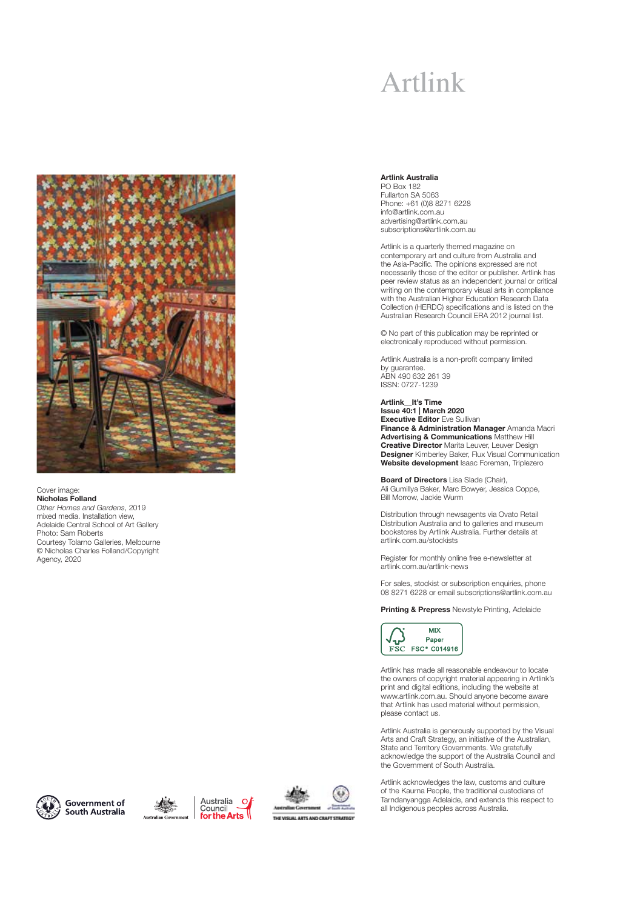## Artlink



Cover image: **Nicholas Folland** Other Homes and Gardens, 2019 mixed media. Installation view, Adelaide Central School of Art Gallery Photo: Sam Roberts Courtesy Tolarno Galleries, Melbourne © Nicholas Charles Folland/Copyright Agency, 2020

#### **Artlink Australia**

PO Box 182 Fullarton SA 5063 Phone: +61 (0)8 8271 6228 info@artlink.com.au advertising@artlink.com.au subscriptions@artlink.com.au

Artlink is a quarterly themed magazine on contemporary art and culture from Australia and the Asia-Pacific. The opinions expressed are not necessarily those of the editor or publisher. Artlink has peer review status as an independent journal or critical writing on the contemporary visual arts in compliance with the Australian Higher Education Research Data Collection (HERDC) specifications and is listed on the Australian Research Council ERA 2012 journal list.

© No part of this publication may be reprinted or electronically reproduced without permission.

Artlink Australia is a non-profit company limited by guarantee. ABN 490 632 261 39 ISSN: 0727-1239

**Artlink\_\_It's Time Issue 40:1 | March 2020 Executive Editor** Eve Sullivan **Finance & Administration Manager** Amanda Macri **Advertising & Communications** Matthew Hill **Creative Director** Marita Leuver, Leuver Design **Designer** Kimberley Baker, Flux Visual Communication **Website development** Isaac Foreman, Triplezero

**Board of Directors** Lisa Slade (Chair), Ali Gumillya Baker, Marc Bowyer, Jessica Coppe, Bill Morrow, Jackie Wurm

Distribution through newsagents via Ovato Retail Distribution Australia and to galleries and museum bookstores by Artlink Australia. Further details at artlink.com.au/stockists

Register for monthly online free e-newsletter at artlink.com.au/artlink-news

For sales, stockist or subscription enquiries, phone 08 8271 6228 or email subscriptions@artlink.com.au

**Printing & Prepress** Newstyle Printing, Adelaide



Artlink has made all reasonable endeavour to locate the owners of copyright material appearing in Artlink's print and digital editions, including the website at www.artlink.com.au. Should anyone become aware that Artlink has used material without permission, please contact us.

Artlink Australia is generously supported by the Visual Arts and Craft Strategy, an initiative of the Australian, State and Territory Governments. We gratefully acknowledge the support of the Australia Council and the Government of South Australia.

Artlink acknowledges the law, customs and culture of the Kaurna People, the traditional custodians of Tarndanyangga Adelaide, and extends this respect to all Indigenous peoples across Australia.



Government of South Australia



 $\Omega$ 

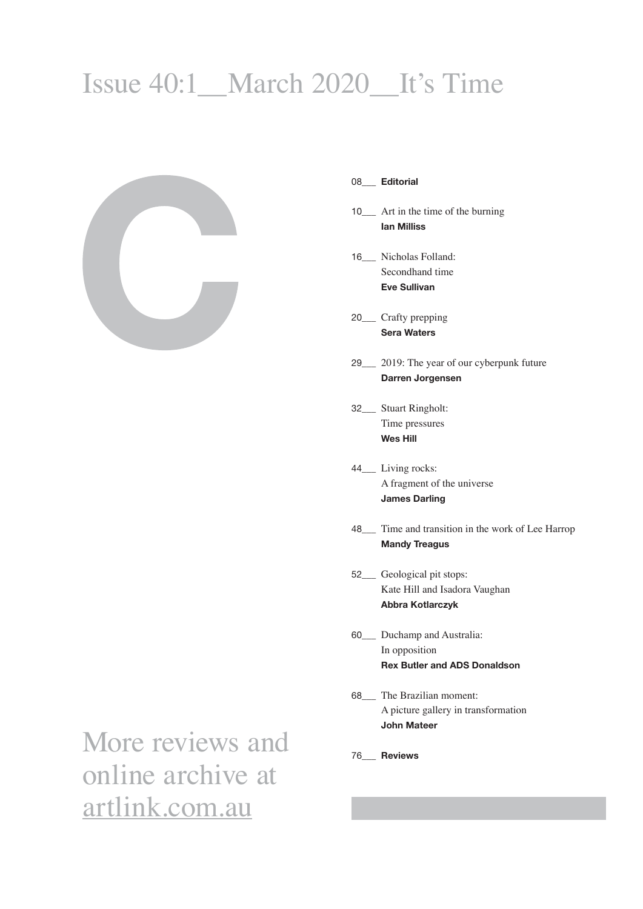# Issue 40:1\_\_March 2020\_\_It's Time



### 08\_\_\_ **Editorial**

- 10\_\_\_ Art in the time of the burning **Ian Milliss**
- 16\_\_\_ Nicholas Folland: Secondhand time **Eve Sullivan**
- 20\_\_\_ Crafty prepping **Sera Waters**
- 29\_\_\_ 2019: The year of our cyberpunk future  **Darren Jorgensen**
- 32\_\_\_ Stuart Ringholt: Time pressures  **Wes Hill**
- 44\_\_\_ Living rocks: A fragment of the universe **James Darling**
- 48\_\_\_ Time and transition in the work of Lee Harrop **Mandy Treagus**
- 52\_\_\_ Geological pit stops: Kate Hill and Isadora Vaughan **Abbra Kotlarczyk**
- 60\_\_\_ Duchamp and Australia: In opposition **Rex Butler and ADS Donaldson**
- 68\_\_\_ The Brazilian moment: A picture gallery in transformation **John Mateer**
- 76\_\_\_ **Reviews**

More reviews and online archive at artlink.com.au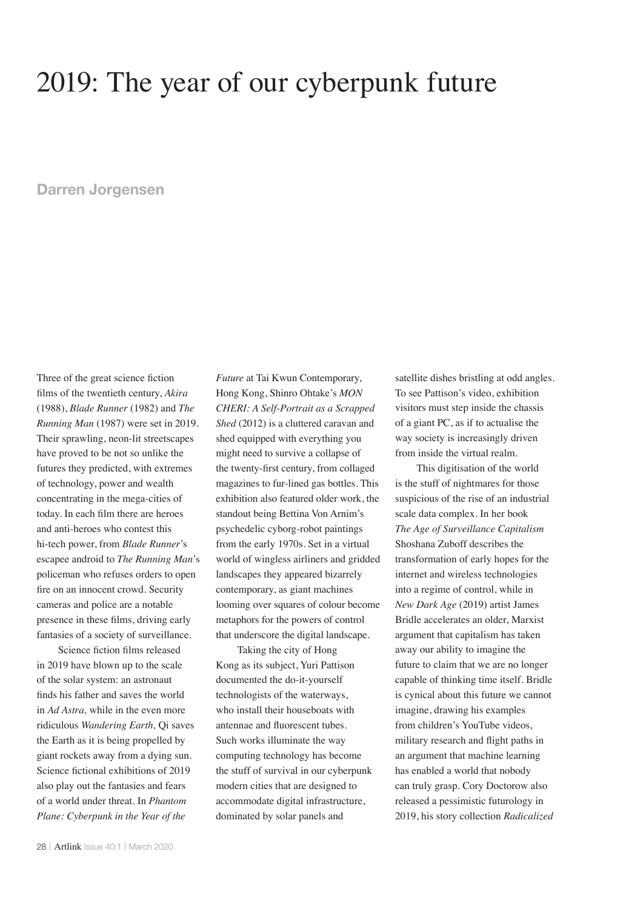## 2019: The year of our cyberpunk future

### **Darren Jorgensen**

Three of the great science fiction films of the twentieth century, Akira (1988), *Blade Runner* (1982) and *The Running Man* (1987) were set in 2019. Their sprawling, neon-lit streetscapes have proved to be not so unlike the futures they predicted, with extremes of technology, power and wealth concentrating in the mega-cities of today. In each film there are heroes and anti-heroes who contest this hi-tech power, from *Blade Runner*'s escapee android to *The Running Man*'s policeman who refuses orders to open fire on an innocent crowd. Security cameras and police are a notable presence in these films, driving early fantasies of a society of surveillance.

Science fiction films released in 2019 have blown up to the scale of the solar system: an astronaut finds his father and saves the world in *Ad Astra,* while in the even more ridiculous *Wandering Earth,* Qi saves the Earth as it is being propelled by giant rockets away from a dying sun. Science fictional exhibitions of 2019 also play out the fantasies and fears of a world under threat. In *Phantom Plane: Cyberpunk in the Year of the* 

*Future* at Tai Kwun Contemporary, Hong Kong, Shinro Ohtake's *MON CHERI: A Self-Portrait as a Scrapped Shed* (2012) is a cluttered caravan and shed equipped with everything you might need to survive a collapse of the twenty-first century, from collaged magazines to fur-lined gas bottles. This exhibition also featured older work, the standout being Bettina Von Arnim's psychedelic cyborg-robot paintings from the early 1970s. Set in a virtual world of wingless airliners and gridded landscapes they appeared bizarrely contemporary, as giant machines looming over squares of colour become metaphors for the powers of control that underscore the digital landscape.

Taking the city of Hong Kong as its subject, Yuri Pattison documented the do-it-yourself technologists of the waterways, who install their houseboats with antennae and fluorescent tubes. Such works illuminate the way computing technology has become the stuff of survival in our cyberpunk modern cities that are designed to accommodate digital infrastructure, dominated by solar panels and

satellite dishes bristling at odd angles. To see Pattison's video, exhibition visitors must step inside the chassis of a giant PC, as if to actualise the way society is increasingly driven from inside the virtual realm.

This digitisation of the world is the stuff of nightmares for those suspicious of the rise of an industrial scale data complex. In her book *The Age of Surveillance Capitalism* Shoshana Zuboff describes the transformation of early hopes for the internet and wireless technologies into a regime of control, while in *New Dark Age* (2019) artist James Bridle accelerates an older, Marxist argument that capitalism has taken away our ability to imagine the future to claim that we are no longer capable of thinking time itself. Bridle is cynical about this future we cannot imagine, drawing his examples from children's YouTube videos, military research and flight paths in an argument that machine learning has enabled a world that nobody can truly grasp. Cory Doctorow also released a pessimistic futurology in 2019, his story collection *Radicalized*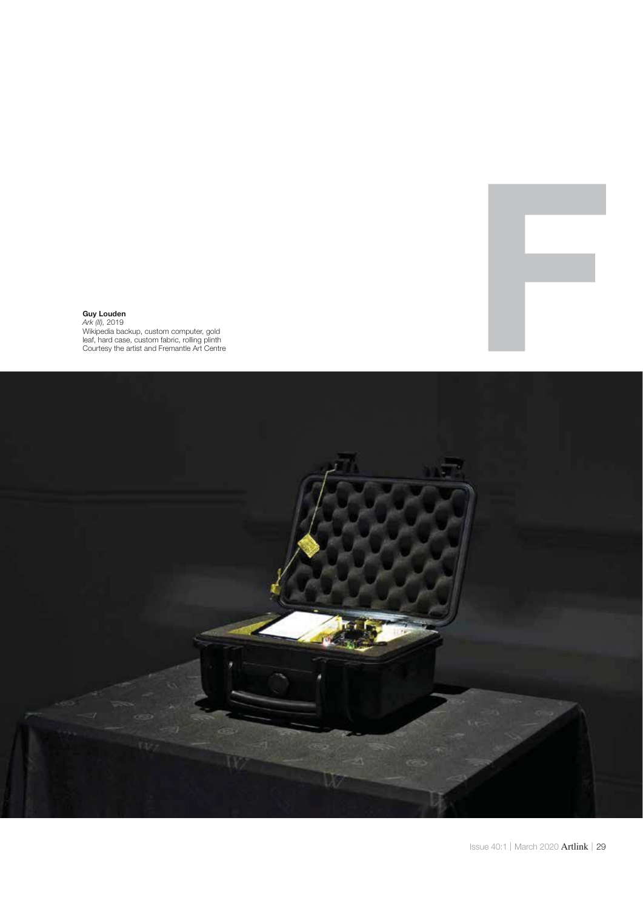

### **Guy Louden** Ark (II), 2019

Wikipedia backup, custom computer, gold leaf, hard case, custom fabric, rolling plinth Courtesy the artist and Fremantle Art Centre

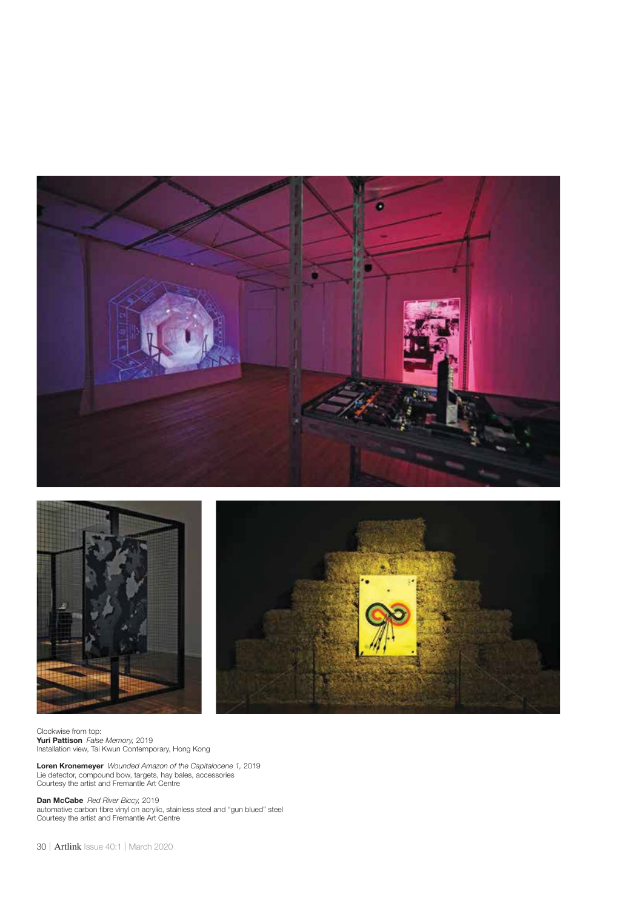



Clockwise from top: **Yuri Pattison** False Memory, 2019 Installation view, Tai Kwun Contemporary, Hong Kong

**Loren Kronemeyer** Wounded Amazon of the Capitalocene 1, 2019 Lie detector, compound bow, targets, hay bales, accessories Courtesy the artist and Fremantle Art Centre

Dan McCabe Red River Biccy, 2019 automative carbon fibre vinyl on acrylic, stainless steel and "gun blued" steel Courtesy the artist and Fremantle Art Centre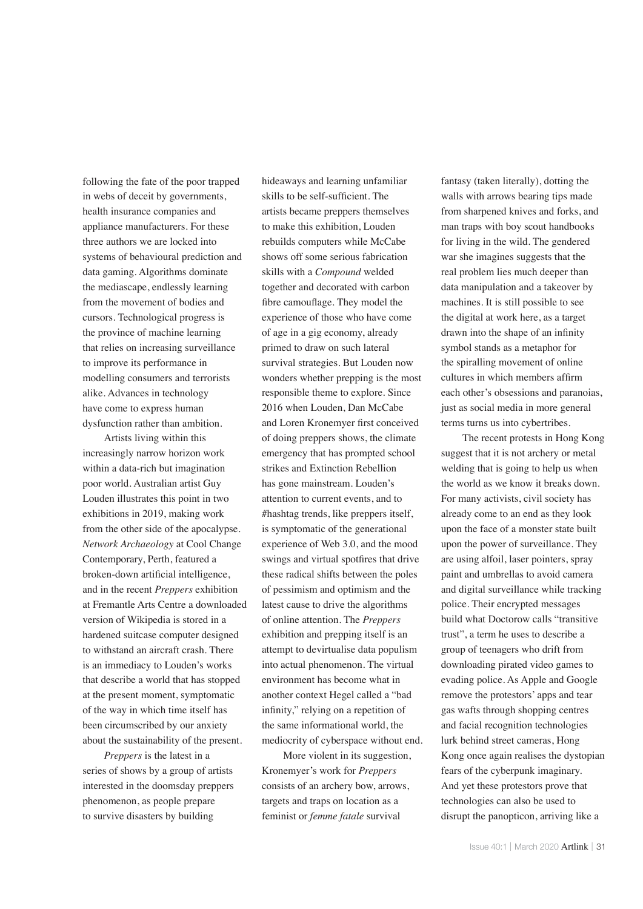following the fate of the poor trapped in webs of deceit by governments, health insurance companies and appliance manufacturers. For these three authors we are locked into systems of behavioural prediction and data gaming. Algorithms dominate the mediascape, endlessly learning from the movement of bodies and cursors. Technological progress is the province of machine learning that relies on increasing surveillance to improve its performance in modelling consumers and terrorists alike. Advances in technology have come to express human dysfunction rather than ambition.

Artists living within this increasingly narrow horizon work within a data-rich but imagination poor world. Australian artist Guy Louden illustrates this point in two exhibitions in 2019, making work from the other side of the apocalypse. *Network Archaeology* at Cool Change Contemporary, Perth, featured a broken-down artificial intelligence, and in the recent *Preppers* exhibition at Fremantle Arts Centre a downloaded version of Wikipedia is stored in a hardened suitcase computer designed to withstand an aircraft crash. There is an immediacy to Louden's works that describe a world that has stopped at the present moment, symptomatic of the way in which time itself has been circumscribed by our anxiety about the sustainability of the present.

*Preppers* is the latest in a series of shows by a group of artists interested in the doomsday preppers phenomenon, as people prepare to survive disasters by building

hideaways and learning unfamiliar skills to be self-sufficient. The artists became preppers themselves to make this exhibition, Louden rebuilds computers while McCabe shows off some serious fabrication skills with a *Compound* welded together and decorated with carbon fibre camouflage. They model the experience of those who have come of age in a gig economy, already primed to draw on such lateral survival strategies. But Louden now wonders whether prepping is the most responsible theme to explore. Since 2016 when Louden, Dan McCabe and Loren Kronemyer first conceived of doing preppers shows, the climate emergency that has prompted school strikes and Extinction Rebellion has gone mainstream. Louden's attention to current events, and to #hashtag trends, like preppers itself, is symptomatic of the generational experience of Web 3.0, and the mood swings and virtual spotfires that drive these radical shifts between the poles of pessimism and optimism and the latest cause to drive the algorithms of online attention. The *Preppers* exhibition and prepping itself is an attempt to devirtualise data populism into actual phenomenon. The virtual environment has become what in another context Hegel called a "bad infinity," relying on a repetition of the same informational world, the mediocrity of cyberspace without end.

More violent in its suggestion, Kronemyer's work for *Preppers* consists of an archery bow, arrows, targets and traps on location as a feminist or *femme fatale* survival

fantasy (taken literally), dotting the walls with arrows bearing tips made from sharpened knives and forks, and man traps with boy scout handbooks for living in the wild. The gendered war she imagines suggests that the real problem lies much deeper than data manipulation and a takeover by machines. It is still possible to see the digital at work here, as a target drawn into the shape of an infinity symbol stands as a metaphor for the spiralling movement of online cultures in which members affirm each other's obsessions and paranoias, just as social media in more general terms turns us into cybertribes.

The recent protests in Hong Kong suggest that it is not archery or metal welding that is going to help us when the world as we know it breaks down. For many activists, civil society has already come to an end as they look upon the face of a monster state built upon the power of surveillance. They are using alfoil, laser pointers, spray paint and umbrellas to avoid camera and digital surveillance while tracking police. Their encrypted messages build what Doctorow calls "transitive trust", a term he uses to describe a group of teenagers who drift from downloading pirated video games to evading police. As Apple and Google remove the protestors' apps and tear gas wafts through shopping centres and facial recognition technologies lurk behind street cameras, Hong Kong once again realises the dystopian fears of the cyberpunk imaginary. And yet these protestors prove that technologies can also be used to disrupt the panopticon, arriving like a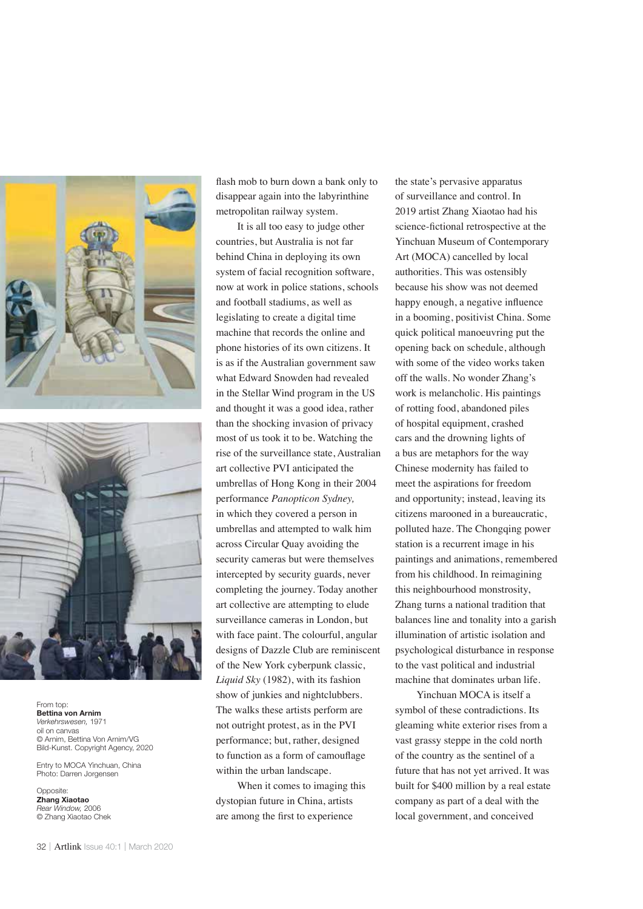



From top: **Bettina von Arnim** Verkehrswesen, 1971 oil on canvas © Arnim, Bettina Von Arnim/VG Bild-Kunst. Copyright Agency, 2020

Entry to MOCA Yinchuan, China Photo: Darren Jorgensen

Opposite: **Zhang Xiaotao** Rear Window, 2006 © Zhang Xiaotao Chek

flash mob to burn down a bank only to disappear again into the labyrinthine metropolitan railway system.

It is all too easy to judge other countries, but Australia is not far behind China in deploying its own system of facial recognition software, now at work in police stations, schools and football stadiums, as well as legislating to create a digital time machine that records the online and phone histories of its own citizens. It is as if the Australian government saw what Edward Snowden had revealed in the Stellar Wind program in the US and thought it was a good idea, rather than the shocking invasion of privacy most of us took it to be. Watching the rise of the surveillance state, Australian art collective PVI anticipated the umbrellas of Hong Kong in their 2004 performance *Panopticon Sydney,* in which they covered a person in umbrellas and attempted to walk him across Circular Quay avoiding the security cameras but were themselves intercepted by security guards, never completing the journey. Today another art collective are attempting to elude surveillance cameras in London, but with face paint. The colourful, angular designs of Dazzle Club are reminiscent of the New York cyberpunk classic, *Liquid Sky* (1982), with its fashion show of junkies and nightclubbers. The walks these artists perform are not outright protest, as in the PVI performance; but, rather, designed to function as a form of camouflage within the urban landscape.

When it comes to imaging this dystopian future in China, artists are among the first to experience

the state's pervasive apparatus of surveillance and control. In 2019 artist Zhang Xiaotao had his science-fictional retrospective at the Yinchuan Museum of Contemporary Art (MOCA) cancelled by local authorities. This was ostensibly because his show was not deemed happy enough, a negative influence in a booming, positivist China. Some quick political manoeuvring put the opening back on schedule, although with some of the video works taken off the walls. No wonder Zhang's work is melancholic. His paintings of rotting food, abandoned piles of hospital equipment, crashed cars and the drowning lights of a bus are metaphors for the way Chinese modernity has failed to meet the aspirations for freedom and opportunity; instead, leaving its citizens marooned in a bureaucratic, polluted haze. The Chongqing power station is a recurrent image in his paintings and animations, remembered from his childhood. In reimagining this neighbourhood monstrosity, Zhang turns a national tradition that balances line and tonality into a garish illumination of artistic isolation and psychological disturbance in response to the vast political and industrial machine that dominates urban life.

Yinchuan MOCA is itself a symbol of these contradictions. Its gleaming white exterior rises from a vast grassy steppe in the cold north of the country as the sentinel of a future that has not yet arrived. It was built for \$400 million by a real estate company as part of a deal with the local government, and conceived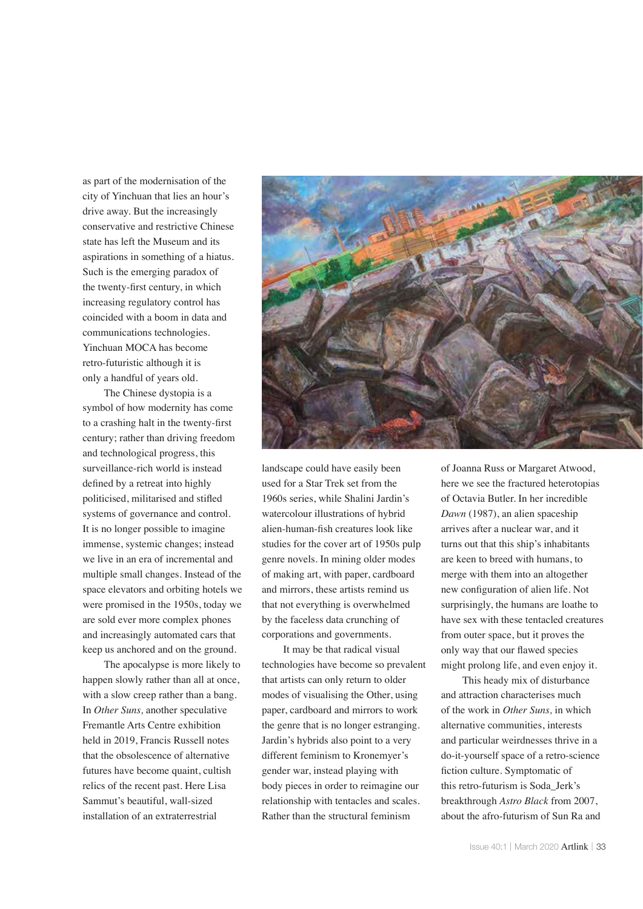as part of the modernisation of the city of Yinchuan that lies an hour's drive away. But the increasingly conservative and restrictive Chinese state has left the Museum and its aspirations in something of a hiatus. Such is the emerging paradox of the twenty-first century, in which increasing regulatory control has coincided with a boom in data and communications technologies. Yinchuan MOCA has become retro-futuristic although it is only a handful of years old.

The Chinese dystopia is a symbol of how modernity has come to a crashing halt in the twenty-first century; rather than driving freedom and technological progress, this surveillance-rich world is instead defined by a retreat into highly politicised, militarised and stifled systems of governance and control. It is no longer possible to imagine immense, systemic changes; instead we live in an era of incremental and multiple small changes. Instead of the space elevators and orbiting hotels we were promised in the 1950s, today we are sold ever more complex phones and increasingly automated cars that keep us anchored and on the ground.

The apocalypse is more likely to happen slowly rather than all at once, with a slow creep rather than a bang. In *Other Suns,* another speculative Fremantle Arts Centre exhibition held in 2019, Francis Russell notes that the obsolescence of alternative futures have become quaint, cultish relics of the recent past. Here Lisa Sammut's beautiful, wall-sized installation of an extraterrestrial



landscape could have easily been used for a Star Trek set from the 1960s series, while Shalini Jardin's watercolour illustrations of hybrid alien-human-fish creatures look like studies for the cover art of 1950s pulp genre novels. In mining older modes of making art, with paper, cardboard and mirrors, these artists remind us that not everything is overwhelmed by the faceless data crunching of corporations and governments.

It may be that radical visual technologies have become so prevalent that artists can only return to older modes of visualising the Other, using paper, cardboard and mirrors to work the genre that is no longer estranging. Jardin's hybrids also point to a very different feminism to Kronemyer's gender war, instead playing with body pieces in order to reimagine our relationship with tentacles and scales. Rather than the structural feminism

of Joanna Russ or Margaret Atwood, here we see the fractured heterotopias of Octavia Butler. In her incredible *Dawn* (1987), an alien spaceship arrives after a nuclear war, and it turns out that this ship's inhabitants are keen to breed with humans, to merge with them into an altogether new configuration of alien life. Not surprisingly, the humans are loathe to have sex with these tentacled creatures from outer space, but it proves the only way that our flawed species might prolong life, and even enjoy it.

This heady mix of disturbance and attraction characterises much of the work in *Other Suns,* in which alternative communities, interests and particular weirdnesses thrive in a do-it-yourself space of a retro-science fiction culture. Symptomatic of this retro-futurism is Soda\_Jerk's breakthrough *Astro Black* from 2007, about the afro-futurism of Sun Ra and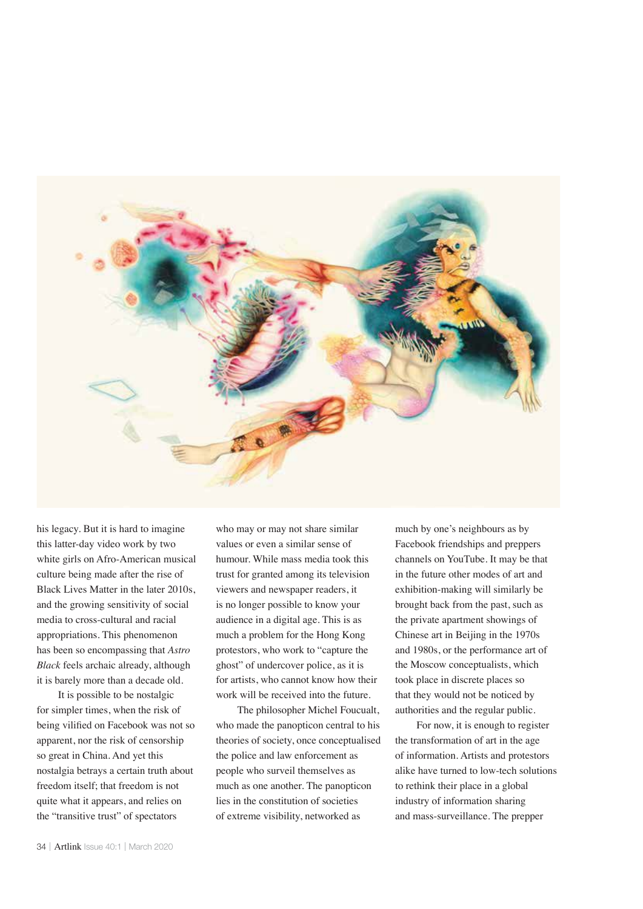

his legacy. But it is hard to imagine this latter-day video work by two white girls on Afro-American musical culture being made after the rise of Black Lives Matter in the later 2010s, and the growing sensitivity of social media to cross-cultural and racial appropriations. This phenomenon has been so encompassing that *Astro Black* feels archaic already, although it is barely more than a decade old.

It is possible to be nostalgic for simpler times, when the risk of being vilified on Facebook was not so apparent, nor the risk of censorship so great in China. And yet this nostalgia betrays a certain truth about freedom itself; that freedom is not quite what it appears, and relies on the "transitive trust" of spectators

who may or may not share similar values or even a similar sense of humour. While mass media took this trust for granted among its television viewers and newspaper readers, it is no longer possible to know your audience in a digital age. This is as much a problem for the Hong Kong protestors, who work to "capture the ghost" of undercover police, as it is for artists, who cannot know how their work will be received into the future.

The philosopher Michel Foucualt, who made the panopticon central to his theories of society, once conceptualised the police and law enforcement as people who surveil themselves as much as one another. The panopticon lies in the constitution of societies of extreme visibility, networked as

much by one's neighbours as by Facebook friendships and preppers channels on YouTube. It may be that in the future other modes of art and exhibition-making will similarly be brought back from the past, such as the private apartment showings of Chinese art in Beijing in the 1970s and 1980s, or the performance art of the Moscow conceptualists, which took place in discrete places so that they would not be noticed by authorities and the regular public.

For now, it is enough to register the transformation of art in the age of information. Artists and protestors alike have turned to low-tech solutions to rethink their place in a global industry of information sharing and mass-surveillance. The prepper